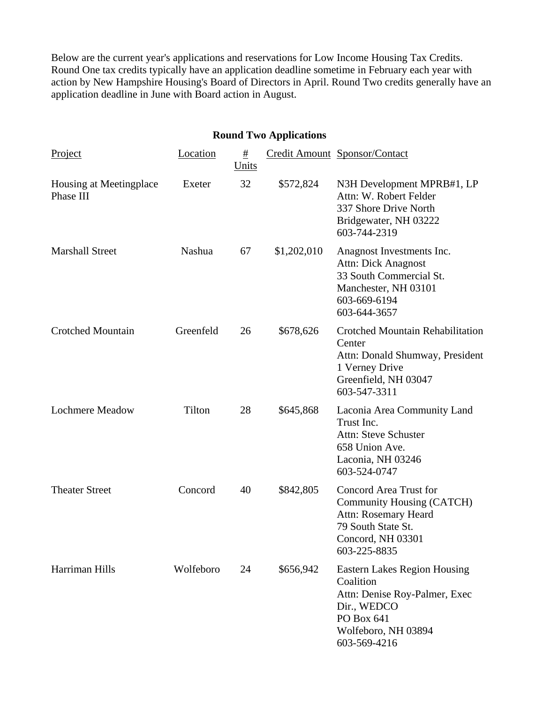Below are the current year's applications and reservations for Low Income Housing Tax Credits. Round One tax credits typically have an application deadline sometime in February each year with action by New Hampshire Housing's Board of Directors in April. Round Two credits generally have an application deadline in June with Board action in August.

## **Round Two Applications**  Project Location # Units Credit Amount Sponsor/Contact Housing at Meetingplace Phase III Exeter 32 \$572,824 N3H Development MPRB#1, LP Attn: W. Robert Felder 337 Shore Drive North Bridgewater, NH 03222 603-744-2319 Marshall Street Nashua 67 \$1,202,010 Anagnost Investments Inc. Attn: Dick Anagnost 33 South Commercial St. Manchester, NH 03101 603-669-6194 603-644-3657 Crotched Mountain Greenfeld 26 \$678,626 Crotched Mountain Rehabilitation **Center** Attn: Donald Shumway, President 1 Verney Drive Greenfield, NH 03047 603-547-3311 Lochmere Meadow Tilton 28 \$645,868 Laconia Area Community Land Trust Inc. Attn: Steve Schuster 658 Union Ave. Laconia, NH 03246 603-524-0747 Theater Street Concord 40 \$842,805 Concord Area Trust for Community Housing (CATCH) Attn: Rosemary Heard 79 South State St. Concord, NH 03301 603-225-8835 Harriman Hills Wolfeboro 24 \$656,942 Eastern Lakes Region Housing **Coalition** Attn: Denise Roy-Palmer, Exec Dir., WEDCO PO Box 641 Wolfeboro, NH 03894

603-569-4216